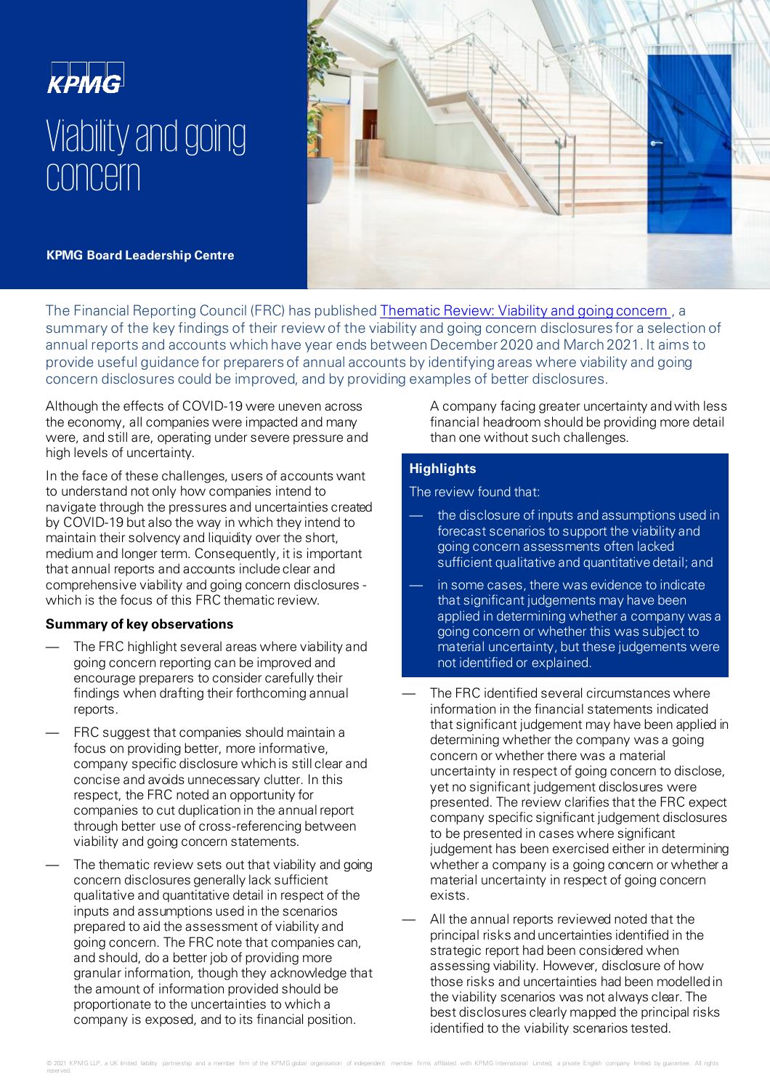



**KPMG Board Leadership Centre** 

The Financial Reporting Council (FRC) has published **Thematic Review: Viability and going concern**, a summary of the key findings of their review of the viability and going concern disclosures for a selection of annual reports and accounts which have year ends between December 2020 and March 2021. It aims to provide useful guidance for preparers of annual accounts by identifying areas where viability and going concern disclosures could be improved, and by providing examples of better disclosures.

.Although the effects of COVID-19 were uneven across the economy, all companies were impacted and many were, and still are, operating under severe pressure and high levels of uncertainty.

In the face of these challenges, users of accounts want to understand not only how companies intend to navigate through the pressures and uncertainties created by COVID-19 but also the way in which they intend to maintain their solvency and liquidity over the short, medium and longer term. Consequently, it is important that annual reports and accounts include clear and comprehensive viability and going concern disclosures which is the focus of this FRC thematic review.

## **Summary of key observations**

- The FRC highlight several areas where viability and going concern reporting can be improved and encourage preparers to consider carefully their findings when drafting their forthcoming annual reports.
- FRC suggest that companies should maintain a focus on providing better, more informative, company specific disclosure which is still clear and concise and avoids unnecessary clutter. In this respect, the FRC noted an opportunity for companies to cut duplication in the annual report through better use of cross-referencing between viability and going concern statements.
- The thematic review sets out that viability and going concern disclosures generally lack sufficient qualitative and quantitative detail in respect of the inputs and assumptions used in the scenarios prepared to aid the assessment of viability and going concern. The FRC note that companies can, and should, do a better job of providing more granular information, though they acknowledge that the amount of information provided should be proportionate to the uncertainties to which a company is exposed, and to its financial position.

A company facing greater uncertainty and with less financial headroom should be providing more detail than one without such challenges.

# **Highlights**

The review found that:

- the disclosure of inputs and assumptions used in forecast scenarios to support the viability and going concern assessments often lacked sufficient qualitative and quantitative detail; and
- in some cases, there was evidence to indicate that significant judgements may have been applied in determining whether a company was a going concern or whether this was subject to material uncertainty, but these judgements were not identified or explained.
- The FRC identified several circumstances where information in the financial statements indicated that significant judgement may have been applied in determining whether the company was a going concern or whether there was a material uncertainty in respect of going concern to disclose, yet no significant judgement disclosures were presented. The review clarifies that the FRC expect company specific significant judgement disclosures to be presented in cases where significant judgement has been exercised either in determining whether a company is a going concern or whether a material uncertainty in respect of going concern exists.
- All the annual reports reviewed noted that the principal risks and uncertainties identified in the strategic report had been considered when assessing viability. However, disclosure of how those risks and uncertainties had been modelled in the viability scenarios was not always clear. The best disclosures clearly mapped the principal risks identified to the viability scenarios tested.